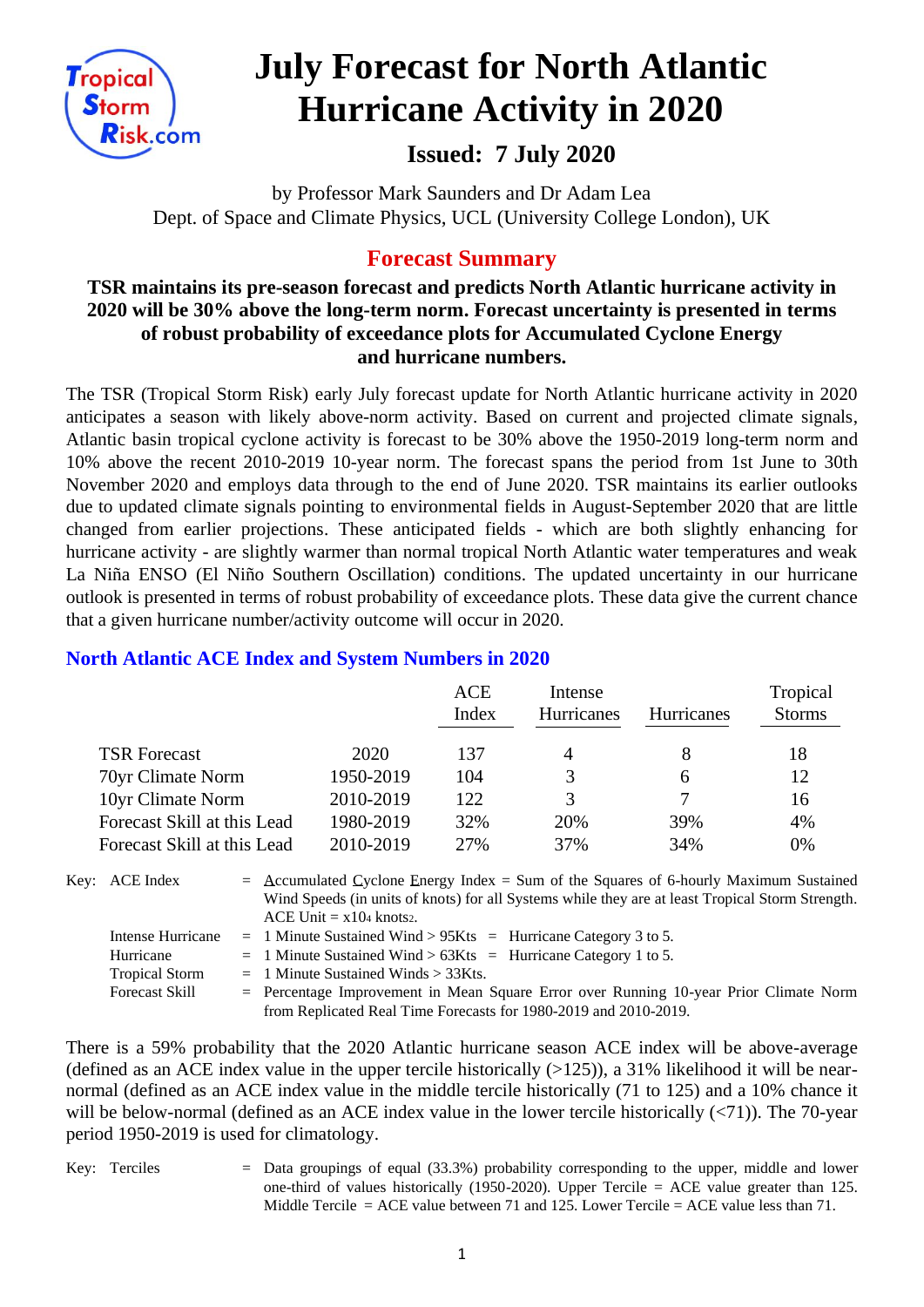

# **July Forecast for North Atlantic Hurricane Activity in 2020**

# **Issued: 7 July 2020**

by Professor Mark Saunders and Dr Adam Lea Dept. of Space and Climate Physics, UCL (University College London), UK

# **Forecast Summary**

# **TSR maintains its pre-season forecast and predicts North Atlantic hurricane activity in 2020 will be 30% above the long-term norm. Forecast uncertainty is presented in terms of robust probability of exceedance plots for Accumulated Cyclone Energy and hurricane numbers.**

The TSR (Tropical Storm Risk) early July forecast update for North Atlantic hurricane activity in 2020 anticipates a season with likely above-norm activity. Based on current and projected climate signals, Atlantic basin tropical cyclone activity is forecast to be 30% above the 1950-2019 long-term norm and 10% above the recent 2010-2019 10-year norm. The forecast spans the period from 1st June to 30th November 2020 and employs data through to the end of June 2020. TSR maintains its earlier outlooks due to updated climate signals pointing to environmental fields in August-September 2020 that are little changed from earlier projections. These anticipated fields - which are both slightly enhancing for hurricane activity - are slightly warmer than normal tropical North Atlantic water temperatures and weak La Niña ENSO (El Niño Southern Oscillation) conditions. The updated uncertainty in our hurricane outlook is presented in terms of robust probability of exceedance plots. These data give the current chance that a given hurricane number/activity outcome will occur in 2020.

|                             |           | ACE<br>Index | Intense<br>Hurricanes | <b>Hurricanes</b> | Tropical<br><b>Storms</b> |
|-----------------------------|-----------|--------------|-----------------------|-------------------|---------------------------|
| <b>TSR Forecast</b>         | 2020      | 137          | 4                     |                   | 18                        |
| 70yr Climate Norm           | 1950-2019 | 104          | 3                     | 6                 | 12                        |
| 10yr Climate Norm           | 2010-2019 | 122          | 3                     |                   | 16                        |
| Forecast Skill at this Lead | 1980-2019 | 32%          | 20%                   | 39%               | 4%                        |
| Forecast Skill at this Lead | 2010-2019 | 27%          | 37%                   | 34%               | 0%                        |

## **North Atlantic ACE Index and System Numbers in 2020**

| Key: ACE Index        | $=$ Accumulated Cyclone Energy Index $=$ Sum of the Squares of 6-hourly Maximum Sustained        |
|-----------------------|--------------------------------------------------------------------------------------------------|
|                       | Wind Speeds (in units of knots) for all Systems while they are at least Tropical Storm Strength. |
|                       | $ACE$ Unit = $x104$ knots2.                                                                      |
| Intense Hurricane     | $=$ 1 Minute Sustained Wind > 95Kts $=$ Hurricane Category 3 to 5.                               |
| Hurricane             | $=$ 1 Minute Sustained Wind > 63Kts = Hurricane Category 1 to 5.                                 |
| <b>Tropical Storm</b> | $=$ 1 Minute Sustained Winds $>$ 33Kts.                                                          |
| <b>Forecast Skill</b> | $=$ Percentage Improvement in Mean Square Error over Running 10-year Prior Climate Norm          |
|                       | from Replicated Real Time Forecasts for 1980-2019 and 2010-2019.                                 |

There is a 59% probability that the 2020 Atlantic hurricane season ACE index will be above-average (defined as an ACE index value in the upper tercile historically  $(>125)$ ), a 31% likelihood it will be nearnormal (defined as an ACE index value in the middle tercile historically (71 to 125) and a 10% chance it will be below-normal (defined as an ACE index value in the lower tercile historically (<71)). The 70-year period 1950-2019 is used for climatology.

Key: Terciles  $=$  Data groupings of equal (33.3%) probability corresponding to the upper, middle and lower one-third of values historically (1950-2020). Upper Tercile  $=$  ACE value greater than 125. Middle Tercile  $=$  ACE value between 71 and 125. Lower Tercile  $=$  ACE value less than 71.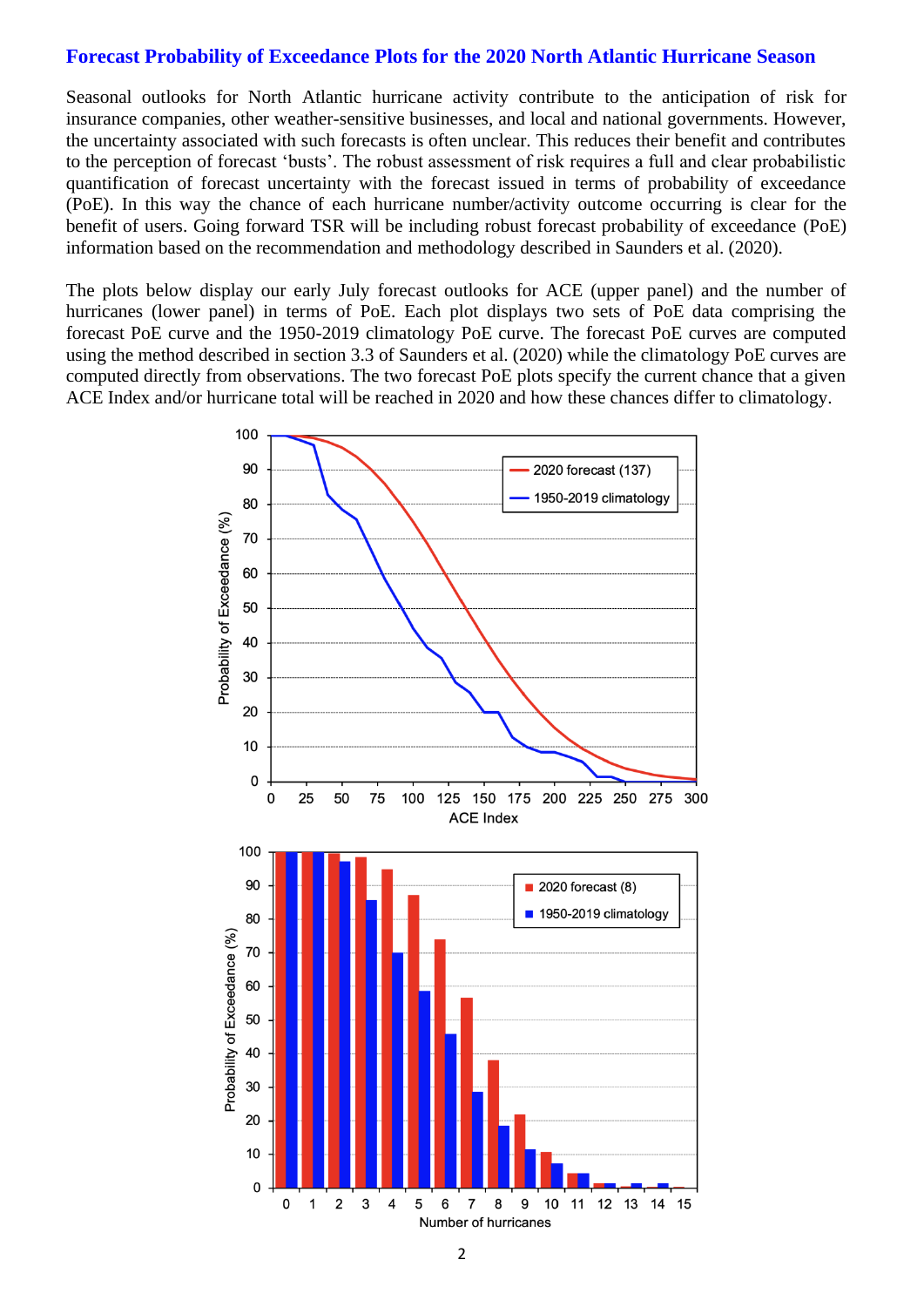#### **Forecast Probability of Exceedance Plots for the 2020 North Atlantic Hurricane Season**

Seasonal outlooks for North Atlantic hurricane activity contribute to the anticipation of risk for insurance companies, other weather-sensitive businesses, and local and national governments. However, the uncertainty associated with such forecasts is often unclear. This reduces their benefit and contributes to the perception of forecast 'busts'. The robust assessment of risk requires a full and clear probabilistic quantification of forecast uncertainty with the forecast issued in terms of probability of exceedance (PoE). In this way the chance of each hurricane number/activity outcome occurring is clear for the benefit of users. Going forward TSR will be including robust forecast probability of exceedance (PoE) information based on the recommendation and methodology described in Saunders et al. (2020).

The plots below display our early July forecast outlooks for ACE (upper panel) and the number of hurricanes (lower panel) in terms of PoE. Each plot displays two sets of PoE data comprising the forecast PoE curve and the 1950-2019 climatology PoE curve. The forecast PoE curves are computed using the method described in section 3.3 of Saunders et al. (2020) while the climatology PoE curves are computed directly from observations. The two forecast PoE plots specify the current chance that a given ACE Index and/or hurricane total will be reached in 2020 and how these chances differ to climatology.

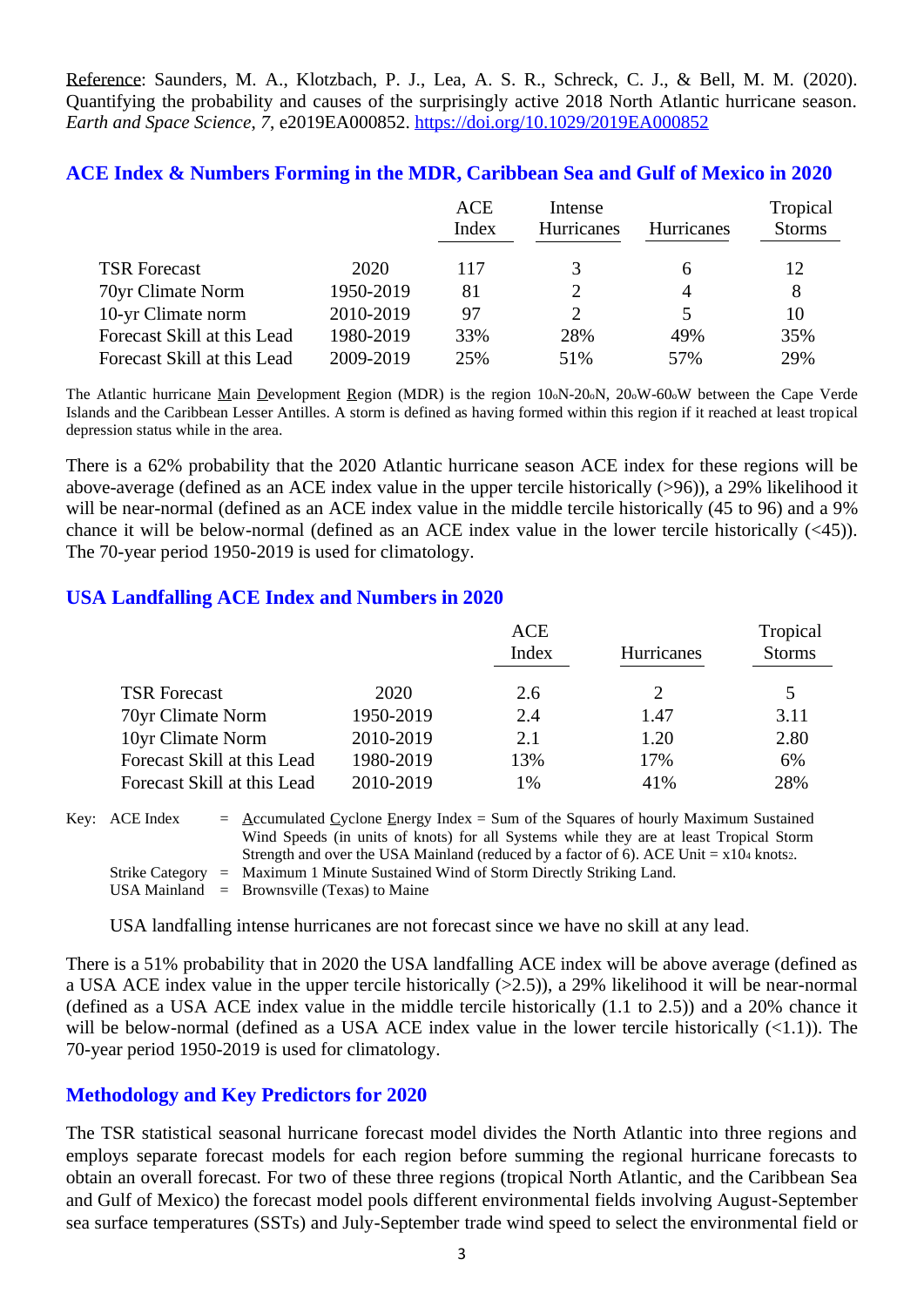Reference: Saunders, M. A., Klotzbach, P. J., Lea, A. S. R., Schreck, C. J., & Bell, M. M. (2020). Quantifying the probability and causes of the surprisingly active 2018 North Atlantic hurricane season. *Earth and Space Science*, *7*, e2019EA000852. <https://doi.org/10.1029/2019EA000852>

| ACE Index & Numbers Forming in the MDR, Caribbean Sea and Gulf of Mexico in 2020 |  |  |  |  |  |  |  |
|----------------------------------------------------------------------------------|--|--|--|--|--|--|--|
|                                                                                  |  |  |  |  |  |  |  |

|                             |           | <b>ACE</b><br>Index | Intense<br>Hurricanes | Hurricanes   | Tropical<br><b>Storms</b> |
|-----------------------------|-----------|---------------------|-----------------------|--------------|---------------------------|
| <b>TSR Forecast</b>         | 2020      | 117                 | 3                     | <sub>0</sub> | 12                        |
| 70yr Climate Norm           | 1950-2019 | 81                  | 2                     | 4            | 8                         |
| 10-yr Climate norm          | 2010-2019 | 97                  | 2                     |              | 10                        |
| Forecast Skill at this Lead | 1980-2019 | 33%                 | 28%                   | 49%          | 35%                       |
| Forecast Skill at this Lead | 2009-2019 | 25%                 | 51%                   | 57%          | 29%                       |

The Atlantic hurricane Main Development Region (MDR) is the region 10oN-20oN, 20oW-60oW between the Cape Verde Islands and the Caribbean Lesser Antilles. A storm is defined as having formed within this region if it reached at least tropical depression status while in the area.

There is a 62% probability that the 2020 Atlantic hurricane season ACE index for these regions will be above-average (defined as an ACE index value in the upper tercile historically (>96)), a 29% likelihood it will be near-normal (defined as an ACE index value in the middle tercile historically (45 to 96) and a 9% chance it will be below-normal (defined as an ACE index value in the lower tercile historically (<45)). The 70-year period 1950-2019 is used for climatology.

#### **USA Landfalling ACE Index and Numbers in 2020**

|                             |           | <b>ACE</b> | Tropical          |               |  |
|-----------------------------|-----------|------------|-------------------|---------------|--|
|                             |           | Index      | <b>Hurricanes</b> | <b>Storms</b> |  |
| <b>TSR Forecast</b>         | 2020      | 2.6        |                   |               |  |
| 70yr Climate Norm           | 1950-2019 | 2.4        | 1.47              | 3.11          |  |
| 10yr Climate Norm           | 2010-2019 | 2.1        | 1.20              | 2.80          |  |
| Forecast Skill at this Lead | 1980-2019 | 13%        | 17%               | 6%            |  |
| Forecast Skill at this Lead | 2010-2019 | 1%         | 41%               | 28%           |  |

Key:  $\text{ACE Index} = \text{Accumulated Cyclone Energy Index} = \text{Sum of the Squares of hourly Maximum Sustainable distance.}$ Wind Speeds (in units of knots) for all Systems while they are at least Tropical Storm Strength and over the USA Mainland (reduced by a factor of 6). ACE Unit  $= x104$  knots2. Strike Category = Maximum 1 Minute Sustained Wind of Storm Directly Striking Land. USA Mainland  $=$  Brownsville (Texas) to Maine

USA landfalling intense hurricanes are not forecast since we have no skill at any lead.

There is a 51% probability that in 2020 the USA landfalling ACE index will be above average (defined as a USA ACE index value in the upper tercile historically (>2.5)), a 29% likelihood it will be near-normal (defined as a USA ACE index value in the middle tercile historically (1.1 to 2.5)) and a 20% chance it will be below-normal (defined as a USA ACE index value in the lower tercile historically  $(\langle 1.1 \rangle)$ ). The 70-year period 1950-2019 is used for climatology.

## **Methodology and Key Predictors for 2020**

The TSR statistical seasonal hurricane forecast model divides the North Atlantic into three regions and employs separate forecast models for each region before summing the regional hurricane forecasts to obtain an overall forecast. For two of these three regions (tropical North Atlantic, and the Caribbean Sea and Gulf of Mexico) the forecast model pools different environmental fields involving August-September sea surface temperatures (SSTs) and July-September trade wind speed to select the environmental field or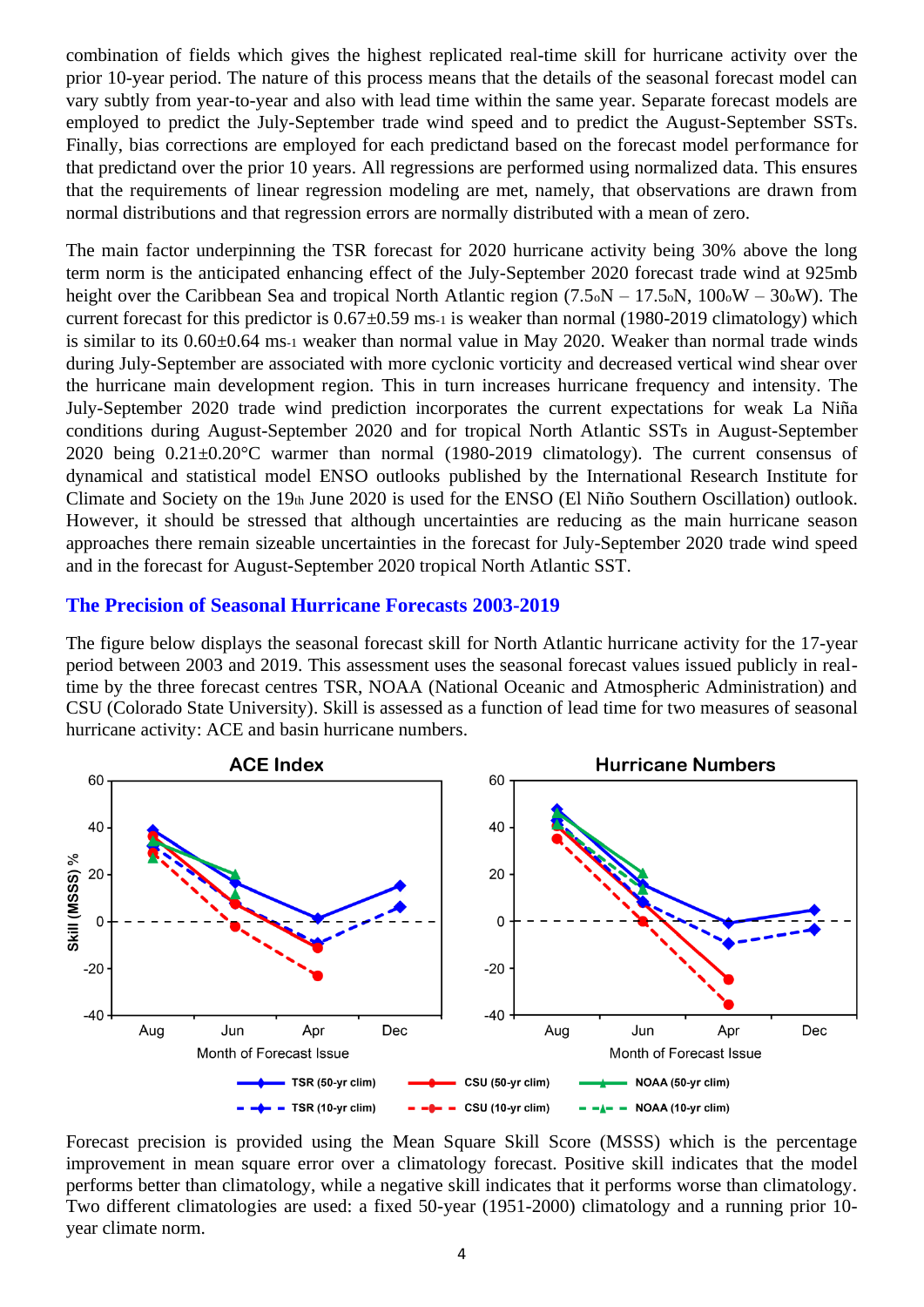combination of fields which gives the highest replicated real-time skill for hurricane activity over the prior 10-year period. The nature of this process means that the details of the seasonal forecast model can vary subtly from year-to-year and also with lead time within the same year. Separate forecast models are employed to predict the July-September trade wind speed and to predict the August-September SSTs. Finally, bias corrections are employed for each predictand based on the forecast model performance for that predictand over the prior 10 years. All regressions are performed using normalized data. This ensures that the requirements of linear regression modeling are met, namely, that observations are drawn from normal distributions and that regression errors are normally distributed with a mean of zero.

The main factor underpinning the TSR forecast for 2020 hurricane activity being 30% above the long term norm is the anticipated enhancing effect of the July-September 2020 forecast trade wind at 925mb height over the Caribbean Sea and tropical North Atlantic region (7.5<sup>o</sup>N – 17.5<sup>o</sup>N, 100<sup>o</sup>W – 30<sup>o</sup>W). The current forecast for this predictor is  $0.67 \pm 0.59$  ms-1 is weaker than normal (1980-2019 climatology) which is similar to its 0.60±0.64 ms-1 weaker than normal value in May 2020. Weaker than normal trade winds during July-September are associated with more cyclonic vorticity and decreased vertical wind shear over the hurricane main development region. This in turn increases hurricane frequency and intensity. The July-September 2020 trade wind prediction incorporates the current expectations for weak La Niña conditions during August-September 2020 and for tropical North Atlantic SSTs in August-September 2020 being 0.21±0.20°C warmer than normal (1980-2019 climatology). The current consensus of dynamical and statistical model ENSO outlooks published by the International Research Institute for Climate and Society on the 19th June 2020 is used for the ENSO (El Niño Southern Oscillation) outlook. However, it should be stressed that although uncertainties are reducing as the main hurricane season approaches there remain sizeable uncertainties in the forecast for July-September 2020 trade wind speed and in the forecast for August-September 2020 tropical North Atlantic SST.

#### **The Precision of Seasonal Hurricane Forecasts 2003-2019**

The figure below displays the seasonal forecast skill for North Atlantic hurricane activity for the 17-year period between 2003 and 2019. This assessment uses the seasonal forecast values issued publicly in realtime by the three forecast centres TSR, NOAA (National Oceanic and Atmospheric Administration) and CSU (Colorado State University). Skill is assessed as a function of lead time for two measures of seasonal hurricane activity: ACE and basin hurricane numbers.



Forecast precision is provided using the Mean Square Skill Score (MSSS) which is the percentage improvement in mean square error over a climatology forecast. Positive skill indicates that the model performs better than climatology, while a negative skill indicates that it performs worse than climatology. Two different climatologies are used: a fixed 50-year (1951-2000) climatology and a running prior 10 year climate norm.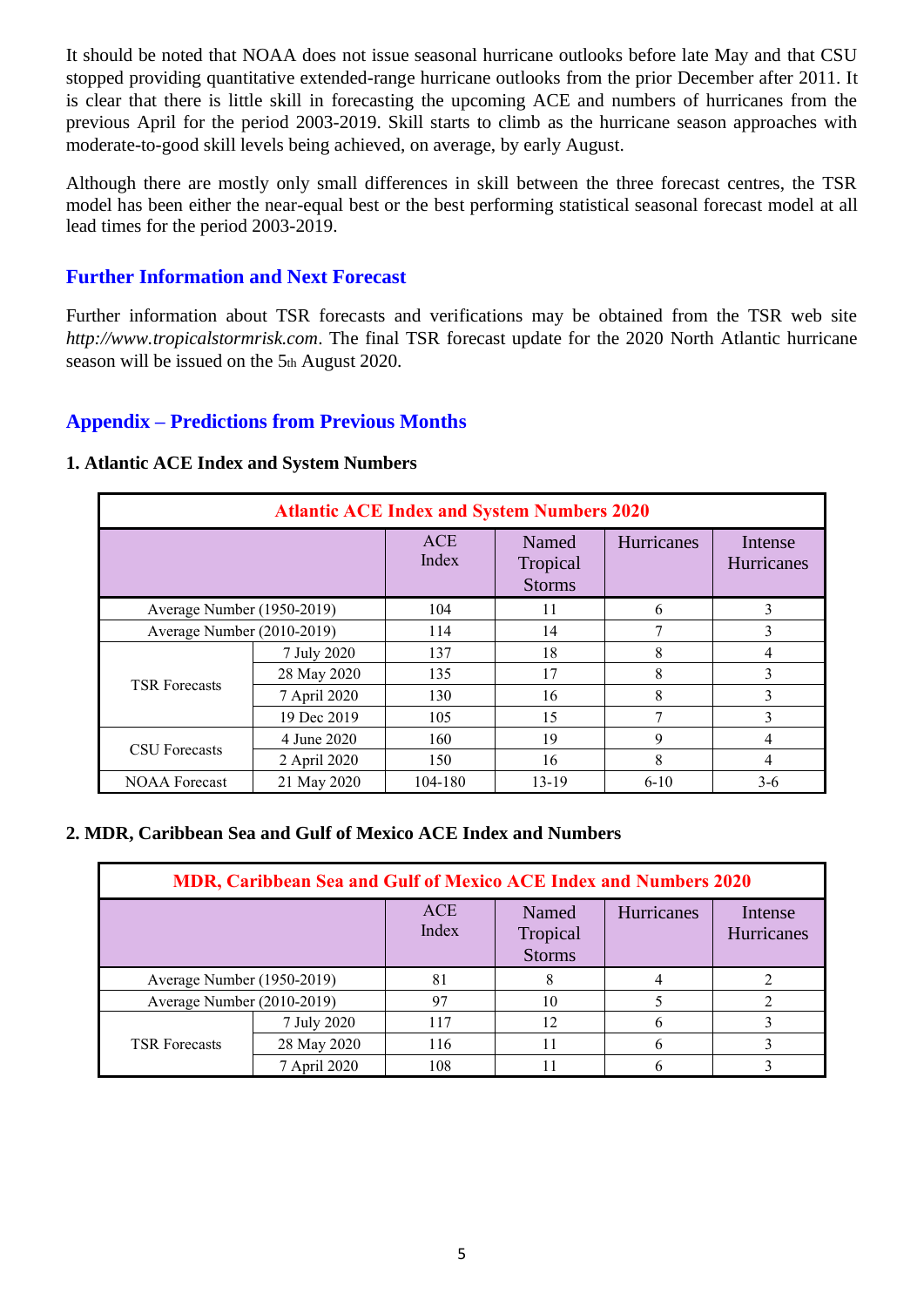It should be noted that NOAA does not issue seasonal hurricane outlooks before late May and that CSU stopped providing quantitative extended-range hurricane outlooks from the prior December after 2011. It is clear that there is little skill in forecasting the upcoming ACE and numbers of hurricanes from the previous April for the period 2003-2019. Skill starts to climb as the hurricane season approaches with moderate-to-good skill levels being achieved, on average, by early August.

Although there are mostly only small differences in skill between the three forecast centres, the TSR model has been either the near-equal best or the best performing statistical seasonal forecast model at all lead times for the period 2003-2019.

## **Further Information and Next Forecast**

Further information about TSR forecasts and verifications may be obtained from the TSR web site *http://www.tropicalstormrisk.com*. The final TSR forecast update for the 2020 North Atlantic hurricane season will be issued on the 5th August 2020.

## **Appendix – Predictions from Previous Months**

#### **1. Atlantic ACE Index and System Numbers**

| <b>Atlantic ACE Index and System Numbers 2020</b> |              |                     |                                    |            |                              |  |  |  |
|---------------------------------------------------|--------------|---------------------|------------------------------------|------------|------------------------------|--|--|--|
|                                                   |              | <b>ACE</b><br>Index | Named<br>Tropical<br><b>Storms</b> | Hurricanes | Intense<br><b>Hurricanes</b> |  |  |  |
| Average Number (1950-2019)                        |              | 104                 | 11                                 | 6          | 3                            |  |  |  |
| Average Number (2010-2019)                        |              | 114                 | 14                                 | 7          | 3                            |  |  |  |
| <b>TSR Forecasts</b>                              | 7 July 2020  | 137                 | 18                                 | 8          |                              |  |  |  |
|                                                   | 28 May 2020  | 135                 | 17                                 | 8          | 3                            |  |  |  |
|                                                   | 7 April 2020 | 130                 | 16                                 | 8          | 3                            |  |  |  |
|                                                   | 19 Dec 2019  | 105                 | 15                                 | 7          | 3                            |  |  |  |
| <b>CSU</b> Forecasts                              | 4 June 2020  | 160                 | 19                                 | 9          | 4                            |  |  |  |
|                                                   | 2 April 2020 | 150                 | 16                                 | 8          | 4                            |  |  |  |
| <b>NOAA</b> Forecast                              | 21 May 2020  | 104-180             | $13-19$                            | $6 - 10$   | $3-6$                        |  |  |  |

#### **2. MDR, Caribbean Sea and Gulf of Mexico ACE Index and Numbers**

| MDR, Caribbean Sea and Gulf of Mexico ACE Index and Numbers 2020 |              |                     |                                    |            |                              |  |  |  |  |
|------------------------------------------------------------------|--------------|---------------------|------------------------------------|------------|------------------------------|--|--|--|--|
|                                                                  |              | <b>ACE</b><br>Index | Named<br>Tropical<br><b>Storms</b> | Hurricanes | Intense<br><b>Hurricanes</b> |  |  |  |  |
| Average Number (1950-2019)                                       |              | 81                  | 8                                  |            |                              |  |  |  |  |
| Average Number (2010-2019)                                       |              | 97                  | 10                                 |            |                              |  |  |  |  |
| <b>TSR Forecasts</b>                                             | 7 July 2020  | 117                 | 12                                 |            |                              |  |  |  |  |
|                                                                  | 28 May 2020  | 116                 | 11                                 |            |                              |  |  |  |  |
|                                                                  | 7 April 2020 | 108                 |                                    |            |                              |  |  |  |  |